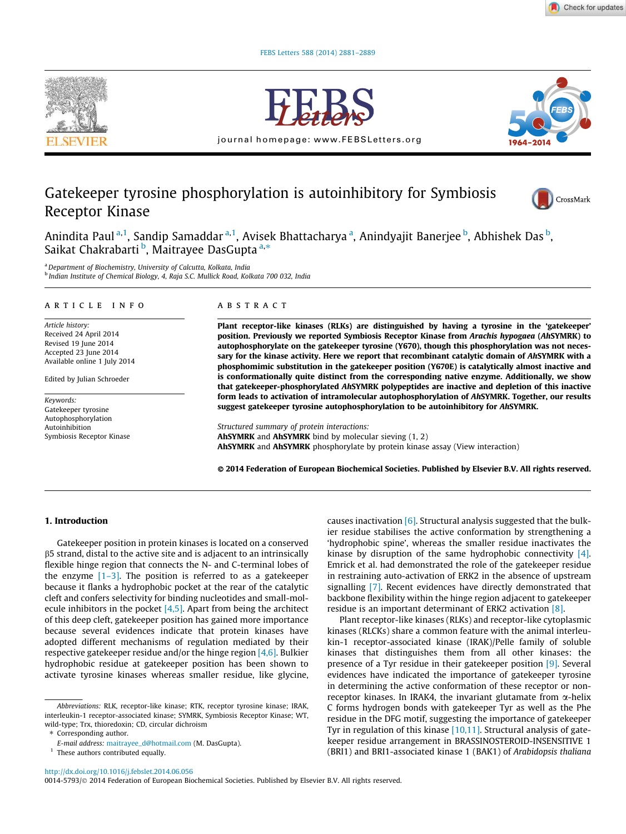



journal homepage: www.FEBSLetters.org



# Gatekeeper tyrosine phosphorylation is autoinhibitory for Symbiosis Receptor Kinase



Anindita Paul <sup>a,1</sup>, Sandip Samaddar <sup>a,1</sup>, Avisek Bhattacharya <sup>a</sup>, Anindyajit Banerjee <sup>b</sup>, Abhishek Das <sup>b</sup>, rimmata ruar , sanaip samadaar , rivise<br>Saikat Chakrabarti <sup>b</sup>, Maitrayee DasGupta<sup>a,\*</sup>

<sup>a</sup> Department of Biochemistry, University of Calcutta, Kolkata, India <sup>b</sup> Indian Institute of Chemical Biology, 4, Raja S.C. Mullick Road, Kolkata 700 032, India

#### article info

Article history: Received 24 April 2014 Revised 19 June 2014 Accepted 23 June 2014 Available online 1 July 2014

Edited by Julian Schroeder

Keywords: Gatekeeper tyrosine Autophosphorylation Autoinhibition Symbiosis Receptor Kinase

#### abstract

Plant receptor-like kinases (RLKs) are distinguished by having a tyrosine in the 'gatekeeper' position. Previously we reported Symbiosis Receptor Kinase from Arachis hypogaea (AhSYMRK) to autophosphorylate on the gatekeeper tyrosine (Y670), though this phosphorylation was not necessary for the kinase activity. Here we report that recombinant catalytic domain of AhSYMRK with a phosphomimic substitution in the gatekeeper position (Y670E) is catalytically almost inactive and is conformationally quite distinct from the corresponding native enzyme. Additionally, we show that gatekeeper-phosphorylated AhSYMRK polypeptides are inactive and depletion of this inactive form leads to activation of intramolecular autophosphorylation of AhSYMRK. Together, our results suggest gatekeeper tyrosine autophosphorylation to be autoinhibitory for AhSYMRK.

Structured summary of protein interactions: AhSYMRK and AhSYMRK bind by molecular sieving (1, 2) AhSYMRK and AhSYMRK phosphorylate by protein kinase assay (View interaction)

- 2014 Federation of European Biochemical Societies. Published by Elsevier B.V. All rights reserved.

## 1. Introduction

Gatekeeper position in protein kinases is located on a conserved b5 strand, distal to the active site and is adjacent to an intrinsically flexible hinge region that connects the N- and C-terminal lobes of the enzyme  $[1-3]$ . The position is referred to as a gatekeeper because it flanks a hydrophobic pocket at the rear of the catalytic cleft and confers selectivity for binding nucleotides and small-molecule inhibitors in the pocket  $[4,5]$ . Apart from being the architect of this deep cleft, gatekeeper position has gained more importance because several evidences indicate that protein kinases have adopted different mechanisms of regulation mediated by their respective gatekeeper residue and/or the hinge region  $[4,6]$ . Bulkier hydrophobic residue at gatekeeper position has been shown to activate tyrosine kinases whereas smaller residue, like glycine,

causes inactivation  $[6]$ . Structural analysis suggested that the bulkier residue stabilises the active conformation by strengthening a 'hydrophobic spine', whereas the smaller residue inactivates the kinase by disruption of the same hydrophobic connectivity [4]. Emrick et al. had demonstrated the role of the gatekeeper residue in restraining auto-activation of ERK2 in the absence of upstream signalling [7]. Recent evidences have directly demonstrated that backbone flexibility within the hinge region adjacent to gatekeeper residue is an important determinant of ERK2 activation [8].

Plant receptor-like kinases (RLKs) and receptor-like cytoplasmic kinases (RLCKs) share a common feature with the animal interleukin-1 receptor-associated kinase (IRAK)/Pelle family of soluble kinases that distinguishes them from all other kinases: the presence of a Tyr residue in their gatekeeper position [9]. Several evidences have indicated the importance of gatekeeper tyrosine in determining the active conformation of these receptor or nonreceptor kinases. In IRAK4, the invariant glutamate from  $\alpha$ -helix C forms hydrogen bonds with gatekeeper Tyr as well as the Phe residue in the DFG motif, suggesting the importance of gatekeeper Tyr in regulation of this kinase [10,11]. Structural analysis of gatekeeper residue arrangement in BRASSINOSTEROID-INSENSITIVE 1 (BRI1) and BRI1-associated kinase 1 (BAK1) of Arabidopsis thaliana

http://dx.doi.org/10.1016/j.febslet.2014.06.056

0014-5793/© 2014 Federation of European Biochemical Societies. Published by Elsevier B.V. All rights reserved.

Abbreviations: RLK, receptor-like kinase; RTK, receptor tyrosine kinase; IRAK, interleukin-1 receptor-associated kinase; SYMRK, Symbiosis Receptor Kinase; WT, wild-type; Trx, thioredoxin; CD, circular dichroism

<sup>⇑</sup> Corresponding author.

E-mail address: maitrayee\_d@hotmail.com (M. DasGupta).

<sup>&</sup>lt;sup>1</sup> These authors contributed equally.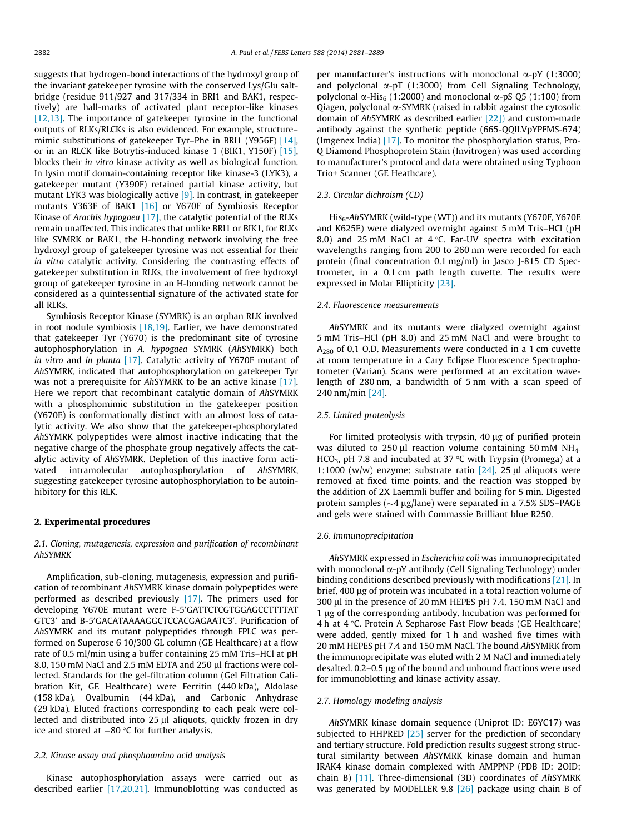suggests that hydrogen-bond interactions of the hydroxyl group of the invariant gatekeeper tyrosine with the conserved Lys/Glu saltbridge (residue 911/927 and 317/334 in BRI1 and BAK1, respectively) are hall-marks of activated plant receptor-like kinases [12,13]. The importance of gatekeeper tyrosine in the functional outputs of RLKs/RLCKs is also evidenced. For example, structure– mimic substitutions of gatekeeper Tyr–Phe in BRI1 (Y956F) [14], or in an RLCK like Botrytis-induced kinase 1 (BIK1, Y150F) [15], blocks their in vitro kinase activity as well as biological function. In lysin motif domain-containing receptor like kinase-3 (LYK3), a gatekeeper mutant (Y390F) retained partial kinase activity, but mutant LYK3 was biologically active [9]. In contrast, in gatekeeper mutants Y363F of BAK1 [16] or Y670F of Symbiosis Receptor Kinase of Arachis hypogaea [17], the catalytic potential of the RLKs remain unaffected. This indicates that unlike BRI1 or BIK1, for RLKs like SYMRK or BAK1, the H-bonding network involving the free hydroxyl group of gatekeeper tyrosine was not essential for their in vitro catalytic activity. Considering the contrasting effects of gatekeeper substitution in RLKs, the involvement of free hydroxyl group of gatekeeper tyrosine in an H-bonding network cannot be considered as a quintessential signature of the activated state for all RLKs.

Symbiosis Receptor Kinase (SYMRK) is an orphan RLK involved in root nodule symbiosis [18,19]. Earlier, we have demonstrated that gatekeeper Tyr (Y670) is the predominant site of tyrosine autophosphorylation in A. hypogaea SYMRK (AhSYMRK) both in vitro and in planta [17]. Catalytic activity of Y670F mutant of AhSYMRK, indicated that autophosphorylation on gatekeeper Tyr was not a prerequisite for AhSYMRK to be an active kinase [17]. Here we report that recombinant catalytic domain of AhSYMRK with a phosphomimic substitution in the gatekeeper position (Y670E) is conformationally distinct with an almost loss of catalytic activity. We also show that the gatekeeper-phosphorylated AhSYMRK polypeptides were almost inactive indicating that the negative charge of the phosphate group negatively affects the catalytic activity of AhSYMRK. Depletion of this inactive form activated intramolecular autophosphorylation of AhSYMRK, suggesting gatekeeper tyrosine autophosphorylation to be autoinhibitory for this RLK.

#### 2. Experimental procedures

2.1. Cloning, mutagenesis, expression and purification of recombinant AhSYMRK

Amplification, sub-cloning, mutagenesis, expression and purification of recombinant AhSYMRK kinase domain polypeptides were performed as described previously [17]. The primers used for developing Y670E mutant were F-5'GATTCTCGTGGAGCCTTTTAT GTC3' and B-5'GACATAAAAGGCTCCACGAGAATC3'. Purification of AhSYMRK and its mutant polypeptides through FPLC was performed on Superose 6 10/300 GL column (GE Healthcare) at a flow rate of 0.5 ml/min using a buffer containing 25 mM Tris–HCl at pH 8.0, 150 mM NaCl and 2.5 mM EDTA and 250 µl fractions were collected. Standards for the gel-filtration column (Gel Filtration Calibration Kit, GE Healthcare) were Ferritin (440 kDa), Aldolase (158 kDa), Ovalbumin (44 kDa), and Carbonic Anhydrase (29 kDa). Eluted fractions corresponding to each peak were collected and distributed into  $25 \mu l$  aliquots, quickly frozen in dry ice and stored at  $-80$  °C for further analysis.

## 2.2. Kinase assay and phosphoamino acid analysis

Kinase autophosphorylation assays were carried out as described earlier [17,20,21]. Immunoblotting was conducted as

per manufacturer's instructions with monoclonal  $\alpha$ -pY (1:3000) and polyclonal  $\alpha$ -pT (1:3000) from Cell Signaling Technology, polyclonal  $\alpha$ -His<sub>6</sub> (1:2000) and monoclonal  $\alpha$ -pS 05 (1:100) from Qiagen, polyclonal  $\alpha$ -SYMRK (raised in rabbit against the cytosolic domain of AhSYMRK as described earlier [22]) and custom-made antibody against the synthetic peptide (665-QQILVpYPFMS-674) (Imgenex India) [17]. To monitor the phosphorylation status, Pro-Q Diamond Phosphoprotein Stain (Invitrogen) was used according to manufacturer's protocol and data were obtained using Typhoon Trio+ Scanner (GE Heathcare).

## 2.3. Circular dichroism (CD)

 $His<sub>6</sub>-AhSYMRK$  (wild-type (WT)) and its mutants (Y670F, Y670E and K625E) were dialyzed overnight against 5 mM Tris–HCl (pH 8.0) and 25 mM NaCl at  $4^{\circ}$ C. Far-UV spectra with excitation wavelengths ranging from 200 to 260 nm were recorded for each protein (final concentration 0.1 mg/ml) in Jasco J-815 CD Spectrometer, in a 0.1 cm path length cuvette. The results were expressed in Molar Ellipticity [23].

### 2.4. Fluorescence measurements

AhSYMRK and its mutants were dialyzed overnight against 5 mM Tris–HCl (pH 8.0) and 25 mM NaCl and were brought to  $A_{280}$  of 0.1 O.D. Measurements were conducted in a 1 cm cuvette at room temperature in a Cary Eclipse Fluorescence Spectrophotometer (Varian). Scans were performed at an excitation wavelength of 280 nm, a bandwidth of 5 nm with a scan speed of 240 nm/min [24].

## 2.5. Limited proteolysis

For limited proteolysis with trypsin,  $40 \mu$ g of purified protein was diluted to 250 µl reaction volume containing 50 mM NH<sub>4-</sub> HCO<sub>3</sub>, pH 7.8 and incubated at 37 °C with Trypsin (Promega) at a 1:1000 (w/w) enzyme: substrate ratio  $[24]$ . 25 µl aliquots were removed at fixed time points, and the reaction was stopped by the addition of 2X Laemmli buffer and boiling for 5 min. Digested protein samples ( $\sim$ 4 µg/lane) were separated in a 7.5% SDS–PAGE and gels were stained with Commassie Brilliant blue R250.

### 2.6. Immunoprecipitation

AhSYMRK expressed in Escherichia coli was immunoprecipitated with monoclonal  $\alpha$ -pY antibody (Cell Signaling Technology) under binding conditions described previously with modifications [21]. In brief, 400 µg of protein was incubated in a total reaction volume of 300 µl in the presence of 20 mM HEPES pH 7.4, 150 mM NaCl and 1 µg of the corresponding antibody. Incubation was performed for 4 h at  $4^{\circ}$ C. Protein A Sepharose Fast Flow beads (GE Healthcare) were added, gently mixed for 1 h and washed five times with 20 mM HEPES pH 7.4 and 150 mM NaCl. The bound AhSYMRK from the immunoprecipitate was eluted with 2 M NaCl and immediately desalted. 0.2-0.5 µg of the bound and unbound fractions were used for immunoblotting and kinase activity assay.

#### 2.7. Homology modeling analysis

AhSYMRK kinase domain sequence (Uniprot ID: E6YC17) was subjected to HHPRED  $[25]$  server for the prediction of secondary and tertiary structure. Fold prediction results suggest strong structural similarity between AhSYMRK kinase domain and human IRAK4 kinase domain complexed with AMPPNP (PDB ID: 2OID; chain B) [11]. Three-dimensional (3D) coordinates of AhSYMRK was generated by MODELLER 9.8 [26] package using chain B of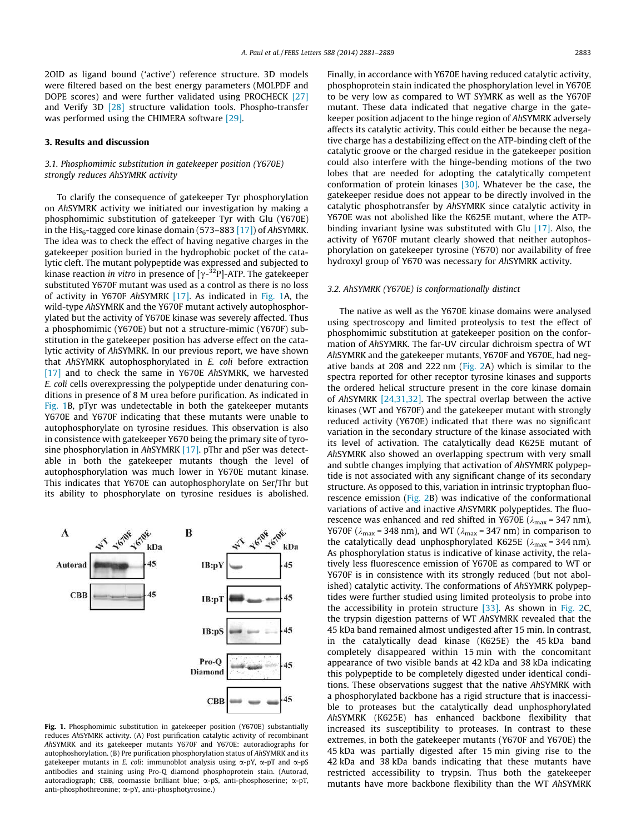2OID as ligand bound ('active') reference structure. 3D models were filtered based on the best energy parameters (MOLPDF and DOPE scores) and were further validated using PROCHECK [27] and Verify 3D [28] structure validation tools. Phospho-transfer was performed using the CHIMERA software [29].

## 3. Results and discussion

## 3.1. Phosphomimic substitution in gatekeeper position (Y670E) strongly reduces AhSYMRK activity

To clarify the consequence of gatekeeper Tyr phosphorylation on AhSYMRK activity we initiated our investigation by making a phosphomimic substitution of gatekeeper Tyr with Glu (Y670E) in the His<sub>6</sub>-tagged core kinase domain (573–883 [17]) of AhSYMRK. The idea was to check the effect of having negative charges in the gatekeeper position buried in the hydrophobic pocket of the catalytic cleft. The mutant polypeptide was expressed and subjected to kinase reaction *in vitro* in presence of  $[\gamma^{-32}P]$ -ATP. The gatekeeper substituted Y670F mutant was used as a control as there is no loss of activity in Y670F AhSYMRK [17]. As indicated in Fig. 1A, the wild-type AhSYMRK and the Y670F mutant actively autophosphorylated but the activity of Y670E kinase was severely affected. Thus a phosphomimic (Y670E) but not a structure-mimic (Y670F) substitution in the gatekeeper position has adverse effect on the catalytic activity of AhSYMRK. In our previous report, we have shown that AhSYMRK autophosphorylated in E. coli before extraction [17] and to check the same in Y670E AhSYMRK, we harvested E. coli cells overexpressing the polypeptide under denaturing conditions in presence of 8 M urea before purification. As indicated in Fig. 1B, pTyr was undetectable in both the gatekeeper mutants Y670E and Y670F indicating that these mutants were unable to autophosphorylate on tyrosine residues. This observation is also in consistence with gatekeeper Y670 being the primary site of tyrosine phosphorylation in AhSYMRK [17]. pThr and pSer was detectable in both the gatekeeper mutants though the level of autophosphorylation was much lower in Y670E mutant kinase. This indicates that Y670E can autophosphorylate on Ser/Thr but its ability to phosphorylate on tyrosine residues is abolished.



Fig. 1. Phosphomimic substitution in gatekeeper position (Y670E) substantially reduces AhSYMRK activity. (A) Post purification catalytic activity of recombinant AhSYMRK and its gatekeeper mutants Y670F and Y670E: autoradiographs for autophoshorylation. (B) Pre purification phosphorylation status of AhSYMRK and its gatekeeper mutants in E. coli: immunoblot analysis using  $\alpha$ -pY,  $\alpha$ -pT and  $\alpha$ -pS antibodies and staining using Pro-Q diamond phosphoprotein stain. (Autorad, autoradiograph; CBB, coomassie brilliant blue; a-pS, anti-phosphoserine; a-pT, anti-phosphothreonine; a-pY, anti-phosphotyrosine.)

Finally, in accordance with Y670E having reduced catalytic activity, phosphoprotein stain indicated the phosphorylation level in Y670E to be very low as compared to WT SYMRK as well as the Y670F mutant. These data indicated that negative charge in the gatekeeper position adjacent to the hinge region of AhSYMRK adversely affects its catalytic activity. This could either be because the negative charge has a destabilizing effect on the ATP-binding cleft of the catalytic groove or the charged residue in the gatekeeper position could also interfere with the hinge-bending motions of the two lobes that are needed for adopting the catalytically competent conformation of protein kinases [30]. Whatever be the case, the gatekeeper residue does not appear to be directly involved in the catalytic phosphotransfer by AhSYMRK since catalytic activity in Y670E was not abolished like the K625E mutant, where the ATPbinding invariant lysine was substituted with Glu [17]. Also, the activity of Y670F mutant clearly showed that neither autophosphorylation on gatekeeper tyrosine (Y670) nor availability of free hydroxyl group of Y670 was necessary for AhSYMRK activity.

## 3.2. AhSYMRK (Y670E) is conformationally distinct

The native as well as the Y670E kinase domains were analysed using spectroscopy and limited proteolysis to test the effect of phosphomimic substitution at gatekeeper position on the conformation of AhSYMRK. The far-UV circular dichroism spectra of WT AhSYMRK and the gatekeeper mutants, Y670F and Y670E, had negative bands at 208 and 222 nm (Fig. 2A) which is similar to the spectra reported for other receptor tyrosine kinases and supports the ordered helical structure present in the core kinase domain of AhSYMRK [24,31,32]. The spectral overlap between the active kinases (WT and Y670F) and the gatekeeper mutant with strongly reduced activity (Y670E) indicated that there was no significant variation in the secondary structure of the kinase associated with its level of activation. The catalytically dead K625E mutant of AhSYMRK also showed an overlapping spectrum with very small and subtle changes implying that activation of AhSYMRK polypeptide is not associated with any significant change of its secondary structure. As opposed to this, variation in intrinsic tryptophan fluorescence emission (Fig. 2B) was indicative of the conformational variations of active and inactive AhSYMRK polypeptides. The fluorescence was enhanced and red shifted in Y670E ( $\lambda_{\text{max}}$  = 347 nm), Y670F ( $\lambda_{\text{max}}$  = 348 nm), and WT ( $\lambda_{\text{max}}$  = 347 nm) in comparison to the catalytically dead unphosphorylated K625E ( $\lambda_{\text{max}}$  = 344 nm). As phosphorylation status is indicative of kinase activity, the relatively less fluorescence emission of Y670E as compared to WT or Y670F is in consistence with its strongly reduced (but not abolished) catalytic activity. The conformations of AhSYMRK polypeptides were further studied using limited proteolysis to probe into the accessibility in protein structure [33]. As shown in Fig. 2C, the trypsin digestion patterns of WT AhSYMRK revealed that the 45 kDa band remained almost undigested after 15 min. In contrast, in the catalytically dead kinase (K625E) the 45 kDa band completely disappeared within 15 min with the concomitant appearance of two visible bands at 42 kDa and 38 kDa indicating this polypeptide to be completely digested under identical conditions. These observations suggest that the native AhSYMRK with a phosphorylated backbone has a rigid structure that is inaccessible to proteases but the catalytically dead unphosphorylated AhSYMRK (K625E) has enhanced backbone flexibility that increased its susceptibility to proteases. In contrast to these extremes, in both the gatekeeper mutants (Y670F and Y670E) the 45 kDa was partially digested after 15 min giving rise to the 42 kDa and 38 kDa bands indicating that these mutants have restricted accessibility to trypsin. Thus both the gatekeeper mutants have more backbone flexibility than the WT AhSYMRK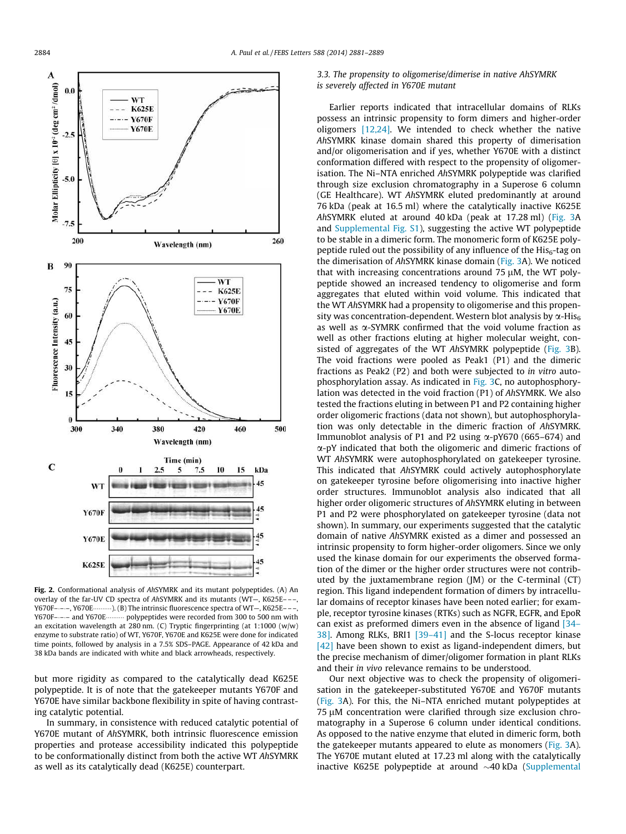

Fig. 2. Conformational analysis of AhSYMRK and its mutant polypeptides. (A) An overlay of the far-UV CD spectra of AhSYMRK and its mutants (WT—, K625E– ––, Y670F----, Y670E $\cdots$ ). (B) The intrinsic fluorescence spectra of WT-, K625E---, Y670F---- and Y670E polypeptides were recorded from 300 to 500 nm with an excitation wavelength at 280 nm. (C) Tryptic fingerprinting (at 1:1000 (w/w) enzyme to substrate ratio) of WT, Y670F, Y670E and K625E were done for indicated time points, followed by analysis in a 7.5% SDS–PAGE. Appearance of 42 kDa and 38 kDa bands are indicated with white and black arrowheads, respectively.

but more rigidity as compared to the catalytically dead K625E polypeptide. It is of note that the gatekeeper mutants Y670F and Y670E have similar backbone flexibility in spite of having contrasting catalytic potential.

In summary, in consistence with reduced catalytic potential of Y670E mutant of AhSYMRK, both intrinsic fluorescence emission properties and protease accessibility indicated this polypeptide to be conformationally distinct from both the active WT AhSYMRK as well as its catalytically dead (K625E) counterpart.

## 3.3. The propensity to oligomerise/dimerise in native AhSYMRK is severely affected in Y670E mutant

Earlier reports indicated that intracellular domains of RLKs possess an intrinsic propensity to form dimers and higher-order oligomers  $[12,24]$ . We intended to check whether the native AhSYMRK kinase domain shared this property of dimerisation and/or oligomerisation and if yes, whether Y670E with a distinct conformation differed with respect to the propensity of oligomerisation. The Ni–NTA enriched AhSYMRK polypeptide was clarified through size exclusion chromatography in a Superose 6 column (GE Healthcare). WT AhSYMRK eluted predominantly at around 76 kDa (peak at 16.5 ml) where the catalytically inactive K625E AhSYMRK eluted at around 40 kDa (peak at 17.28 ml) (Fig. 3A and Supplemental Fig. S1), suggesting the active WT polypeptide to be stable in a dimeric form. The monomeric form of K625E polypeptide ruled out the possibility of any influence of the  $His<sub>6</sub>$ -tag on the dimerisation of AhSYMRK kinase domain (Fig. 3A). We noticed that with increasing concentrations around  $75 \mu$ M, the WT polypeptide showed an increased tendency to oligomerise and form aggregates that eluted within void volume. This indicated that the WT AhSYMRK had a propensity to oligomerise and this propensity was concentration-dependent. Western blot analysis by  $\alpha$ -His<sub>6</sub> as well as  $\alpha$ -SYMRK confirmed that the void volume fraction as well as other fractions eluting at higher molecular weight, consisted of aggregates of the WT AhSYMRK polypeptide (Fig. 3B). The void fractions were pooled as Peak1 (P1) and the dimeric fractions as Peak2 (P2) and both were subjected to in vitro autophosphorylation assay. As indicated in Fig. 3C, no autophosphorylation was detected in the void fraction (P1) of AhSYMRK. We also tested the fractions eluting in between P1 and P2 containing higher order oligomeric fractions (data not shown), but autophosphorylation was only detectable in the dimeric fraction of AhSYMRK. Immunoblot analysis of P1 and P2 using  $\alpha$ -pY670 (665–674) and a-pY indicated that both the oligomeric and dimeric fractions of WT AhSYMRK were autophosphorylated on gatekeeper tyrosine. This indicated that AhSYMRK could actively autophosphorylate on gatekeeper tyrosine before oligomerising into inactive higher order structures. Immunoblot analysis also indicated that all higher order oligomeric structures of AhSYMRK eluting in between P1 and P2 were phosphorylated on gatekeeper tyrosine (data not shown). In summary, our experiments suggested that the catalytic domain of native AhSYMRK existed as a dimer and possessed an intrinsic propensity to form higher-order oligomers. Since we only used the kinase domain for our experiments the observed formation of the dimer or the higher order structures were not contributed by the juxtamembrane region (JM) or the C-terminal (CT) region. This ligand independent formation of dimers by intracellular domains of receptor kinases have been noted earlier; for example, receptor tyrosine kinases (RTKs) such as NGFR, EGFR, and EpoR can exist as preformed dimers even in the absence of ligand [34– 38]. Among RLKs, BRI1 [39–41] and the S-locus receptor kinase [42] have been shown to exist as ligand-independent dimers, but the precise mechanism of dimer/oligomer formation in plant RLKs and their in vivo relevance remains to be understood.

Our next objective was to check the propensity of oligomerisation in the gatekeeper-substituted Y670E and Y670F mutants (Fig. 3A). For this, the Ni–NTA enriched mutant polypeptides at  $75 \mu$ M concentration were clarified through size exclusion chromatography in a Superose 6 column under identical conditions. As opposed to the native enzyme that eluted in dimeric form, both the gatekeeper mutants appeared to elute as monomers (Fig. 3A). The Y670E mutant eluted at 17.23 ml along with the catalytically inactive K625E polypeptide at around  $\sim$ 40 kDa (Supplemental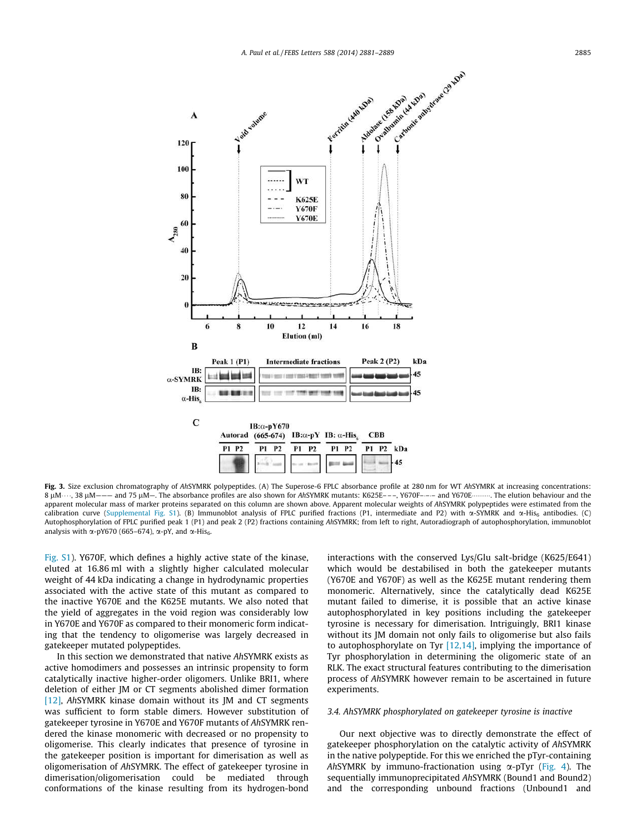

Fig. 3. Size exclusion chromatography of AhSYMRK polypeptides. (A) The Superose-6 FPLC absorbance profile at 280 nm for WT AhSYMRK at increasing concentrations: 8 uM $...,$  38 uM $---$  and 75 uM $-$ . The absorbance profiles are also shown for AhSYMRK mutants: K625E– $---$ , Y670F– $---$  and Y670E $...$ . The elution behaviour and the apparent molecular mass of marker proteins separated on this column are shown above. Apparent molecular weights of AhSYMRK polypeptides were estimated from the calibration curve (Supplemental Fig. S1). (B) Immunoblot analysis of FPLC purified fractions (P1, intermediate and P2) with  $\alpha$ -SYMRK and  $\alpha$ -His<sub>6</sub> antibodies. (C) Autophosphorylation of FPLC purified peak 1 (P1) and peak 2 (P2) fractions containing AhSYMRK; from left to right, Autoradiograph of autophosphorylation, immunoblot analysis with  $\alpha$ -pY670 (665–674),  $\alpha$ -pY, and  $\alpha$ -His<sub>6</sub>.

Fig. S1). Y670F, which defines a highly active state of the kinase, eluted at 16.86 ml with a slightly higher calculated molecular weight of 44 kDa indicating a change in hydrodynamic properties associated with the active state of this mutant as compared to the inactive Y670E and the K625E mutants. We also noted that the yield of aggregates in the void region was considerably low in Y670E and Y670F as compared to their monomeric form indicating that the tendency to oligomerise was largely decreased in gatekeeper mutated polypeptides.

In this section we demonstrated that native AhSYMRK exists as active homodimers and possesses an intrinsic propensity to form catalytically inactive higher-order oligomers. Unlike BRI1, where deletion of either JM or CT segments abolished dimer formation [12], AhSYMRK kinase domain without its JM and CT segments was sufficient to form stable dimers. However substitution of gatekeeper tyrosine in Y670E and Y670F mutants of AhSYMRK rendered the kinase monomeric with decreased or no propensity to oligomerise. This clearly indicates that presence of tyrosine in the gatekeeper position is important for dimerisation as well as oligomerisation of AhSYMRK. The effect of gatekeeper tyrosine in dimerisation/oligomerisation could be mediated through conformations of the kinase resulting from its hydrogen-bond interactions with the conserved Lys/Glu salt-bridge (K625/E641) which would be destabilised in both the gatekeeper mutants (Y670E and Y670F) as well as the K625E mutant rendering them monomeric. Alternatively, since the catalytically dead K625E mutant failed to dimerise, it is possible that an active kinase autophosphorylated in key positions including the gatekeeper tyrosine is necessary for dimerisation. Intriguingly, BRI1 kinase without its JM domain not only fails to oligomerise but also fails to autophosphorylate on Tyr  $[12,14]$ , implying the importance of Tyr phosphorylation in determining the oligomeric state of an RLK. The exact structural features contributing to the dimerisation process of AhSYMRK however remain to be ascertained in future experiments.

## 3.4. AhSYMRK phosphorylated on gatekeeper tyrosine is inactive

Our next objective was to directly demonstrate the effect of gatekeeper phosphorylation on the catalytic activity of AhSYMRK in the native polypeptide. For this we enriched the pTyr-containing AhSYMRK by immuno-fractionation using  $\alpha$ -pTyr (Fig. 4). The sequentially immunoprecipitated AhSYMRK (Bound1 and Bound2) and the corresponding unbound fractions (Unbound1 and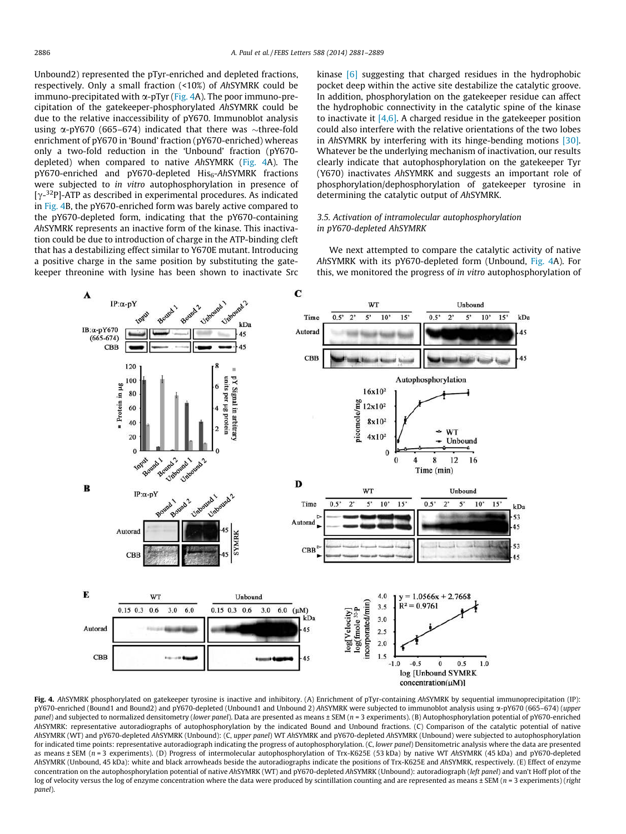Unbound2) represented the pTyr-enriched and depleted fractions, respectively. Only a small fraction (<10%) of AhSYMRK could be immuno-precipitated with  $\alpha$ -pTyr (Fig. 4A). The poor immuno-precipitation of the gatekeeper-phosphorylated AhSYMRK could be due to the relative inaccessibility of pY670. Immunoblot analysis using  $\alpha$ -pY670 (665–674) indicated that there was  $\sim$ three-fold enrichment of pY670 in 'Bound' fraction (pY670-enriched) whereas only a two-fold reduction in the 'Unbound' fraction (pY670 depleted) when compared to native AhSYMRK (Fig. 4A). The  $pY670$ -enriched and  $pY670$ -depleted  $His<sub>6</sub>$ -AhSYMRK fractions were subjected to in vitro autophosphorylation in presence of [ $\gamma$ -<sup>32</sup>P]-ATP as described in experimental procedures. As indicated in Fig. 4B, the pY670-enriched form was barely active compared to the pY670-depleted form, indicating that the pY670-containing AhSYMRK represents an inactive form of the kinase. This inactivation could be due to introduction of charge in the ATP-binding cleft that has a destabilizing effect similar to Y670E mutant. Introducing a positive charge in the same position by substituting the gatekeeper threonine with lysine has been shown to inactivate Src kinase [6] suggesting that charged residues in the hydrophobic pocket deep within the active site destabilize the catalytic groove. In addition, phosphorylation on the gatekeeper residue can affect the hydrophobic connectivity in the catalytic spine of the kinase to inactivate it  $[4,6]$ . A charged residue in the gatekeeper position could also interfere with the relative orientations of the two lobes in AhSYMRK by interfering with its hinge-bending motions [30]. Whatever be the underlying mechanism of inactivation, our results clearly indicate that autophosphorylation on the gatekeeper Tyr (Y670) inactivates AhSYMRK and suggests an important role of phosphorylation/dephosphorylation of gatekeeper tyrosine in determining the catalytic output of AhSYMRK.

## 3.5. Activation of intramolecular autophosphorylation in pY670-depleted AhSYMRK

We next attempted to compare the catalytic activity of native AhSYMRK with its pY670-depleted form (Unbound, Fig. 4A). For this, we monitored the progress of in vitro autophosphorylation of



Fig. 4. AhSYMRK phosphorylated on gatekeeper tyrosine is inactive and inhibitory. (A) Enrichment of pTyr-containing AhSYMRK by sequential immunoprecipitation (IP): pY670-enriched (Bound1 and Bound2) and pY670-depleted (Unbound1 and Unbound 2) AhSYMRK were subjected to immunoblot analysis using a-pY670 (665–674) (upper panel) and subjected to normalized densitometry (lower panel). Data are presented as means ± SEM (n = 3 experiments). (B) Autophosphorylation potential of pY670-enriched AhSYMRK: representative autoradiographs of autophosphorylation by the indicated Bound and Unbound fractions. (C) Comparison of the catalytic potential of native AhSYMRK (WT) and pY670-depleted AhSYMRK (Unbound): (C, upper panel) WT AhSYMRK and pY670-depleted AhSYMRK (Unbound) were subjected to autophosphorylation for indicated time points: representative autoradiograph indicating the progress of autophosphorylation. (C, lower panel) Densitometric analysis where the data are presented as means ± SEM (n = 3 experiments). (D) Progress of intermolecular autophosphorylation of Trx-K625E (53 kDa) by native WT AhSYMRK (45 kDa) and pY670-depleted AhSYMRK (Unbound, 45 kDa): white and black arrowheads beside the autoradiographs indicate the positions of Trx-K625E and AhSYMRK, respectively. (E) Effect of enzyme concentration on the autophosphorylation potential of native AhSYMRK (WT) and pY670-depleted AhSYMRK (Unbound): autoradiograph (left panel) and van't Hoff plot of the log of velocity versus the log of enzyme concentration where the data were produced by scintillation counting and are represented as means  $\pm$  SEM ( $n = 3$  experiments) (right panel).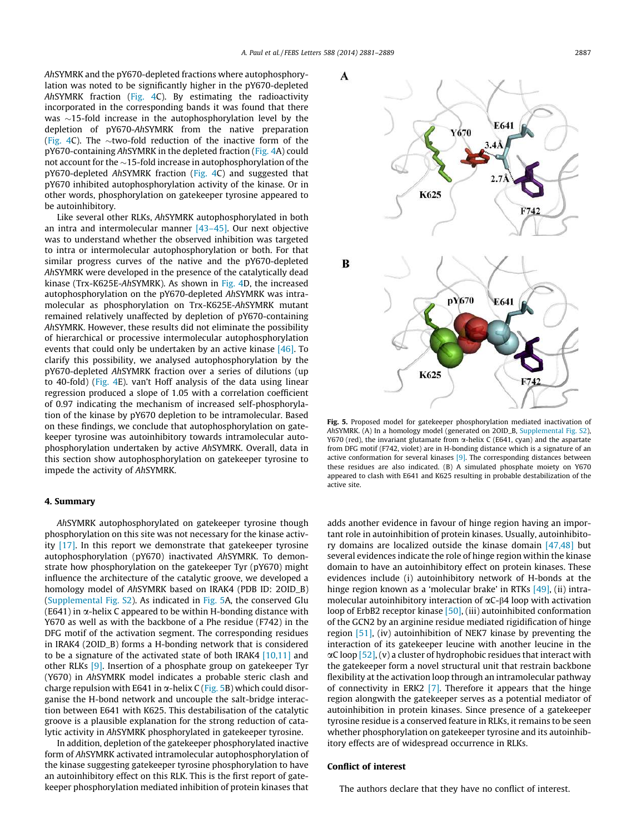AhSYMRK and the pY670-depleted fractions where autophosphorylation was noted to be significantly higher in the pY670-depleted AhSYMRK fraction (Fig. 4C). By estimating the radioactivity incorporated in the corresponding bands it was found that there was  $\sim$ 15-fold increase in the autophosphorylation level by the depletion of pY670-AhSYMRK from the native preparation (Fig. 4C). The  $\sim$ two-fold reduction of the inactive form of the pY670-containing AhSYMRK in the depleted fraction (Fig. 4A) could not account for the  $\sim$ 15-fold increase in autophosphorylation of the pY670-depleted AhSYMRK fraction (Fig. 4C) and suggested that pY670 inhibited autophosphorylation activity of the kinase. Or in other words, phosphorylation on gatekeeper tyrosine appeared to be autoinhibitory.

Like several other RLKs, AhSYMRK autophosphorylated in both an intra and intermolecular manner [43–45]. Our next objective was to understand whether the observed inhibition was targeted to intra or intermolecular autophosphorylation or both. For that similar progress curves of the native and the pY670-depleted AhSYMRK were developed in the presence of the catalytically dead kinase (Trx-K625E-AhSYMRK). As shown in Fig. 4D, the increased autophosphorylation on the pY670-depleted AhSYMRK was intramolecular as phosphorylation on Trx-K625E-AhSYMRK mutant remained relatively unaffected by depletion of pY670-containing AhSYMRK. However, these results did not eliminate the possibility of hierarchical or processive intermolecular autophosphorylation events that could only be undertaken by an active kinase  $[46]$ . To clarify this possibility, we analysed autophosphorylation by the pY670-depleted AhSYMRK fraction over a series of dilutions (up to 40-fold) (Fig. 4E). van't Hoff analysis of the data using linear regression produced a slope of 1.05 with a correlation coefficient of 0.97 indicating the mechanism of increased self-phosphorylation of the kinase by pY670 depletion to be intramolecular. Based on these findings, we conclude that autophosphorylation on gatekeeper tyrosine was autoinhibitory towards intramolecular autophosphorylation undertaken by active AhSYMRK. Overall, data in this section show autophosphorylation on gatekeeper tyrosine to impede the activity of AhSYMRK.

### 4. Summary

AhSYMRK autophosphorylated on gatekeeper tyrosine though phosphorylation on this site was not necessary for the kinase activity [17]. In this report we demonstrate that gatekeeper tyrosine autophosphorylation (pY670) inactivated AhSYMRK. To demonstrate how phosphorylation on the gatekeeper Tyr (pY670) might influence the architecture of the catalytic groove, we developed a homology model of AhSYMRK based on IRAK4 (PDB ID: 2OID\_B) (Supplemental Fig. S2). As indicated in Fig. 5A, the conserved Glu  $(E641)$  in  $\alpha$ -helix C appeared to be within H-bonding distance with Y670 as well as with the backbone of a Phe residue (F742) in the DFG motif of the activation segment. The corresponding residues in IRAK4 (2OID\_B) forms a H-bonding network that is considered to be a signature of the activated state of both IRAK4 [10,11] and other RLKs [9]. Insertion of a phosphate group on gatekeeper Tyr (Y670) in AhSYMRK model indicates a probable steric clash and charge repulsion with E641 in  $\alpha$ -helix C (Fig. 5B) which could disorganise the H-bond network and uncouple the salt-bridge interaction between E641 with K625. This destabilisation of the catalytic groove is a plausible explanation for the strong reduction of catalytic activity in AhSYMRK phosphorylated in gatekeeper tyrosine.

In addition, depletion of the gatekeeper phosphorylated inactive form of AhSYMRK activated intramolecular autophosphorylation of the kinase suggesting gatekeeper tyrosine phosphorylation to have an autoinhibitory effect on this RLK. This is the first report of gatekeeper phosphorylation mediated inhibition of protein kinases that



Fig. 5. Proposed model for gatekeeper phosphorylation mediated inactivation of AhSYMRK. (A) In a homology model (generated on 2OID\_B, Supplemental Fig. S2), Y670 (red), the invariant glutamate from  $\alpha$ -helix C (E641, cyan) and the aspartate from DFG motif (F742, violet) are in H-bonding distance which is a signature of an active conformation for several kinases [9]. The corresponding distances between these residues are also indicated. (B) A simulated phosphate moiety on Y670 appeared to clash with E641 and K625 resulting in probable destabilization of the active site.

adds another evidence in favour of hinge region having an important role in autoinhibition of protein kinases. Usually, autoinhibitory domains are localized outside the kinase domain [47,48] but several evidences indicate the role of hinge region within the kinase domain to have an autoinhibitory effect on protein kinases. These evidences include (i) autoinhibitory network of H-bonds at the hinge region known as a 'molecular brake' in RTKs [49], (ii) intramolecular autoinhibitory interaction of  $\alpha$ C- $\beta$ 4 loop with activation loop of ErbB2 receptor kinase [50], (iii) autoinhibited conformation of the GCN2 by an arginine residue mediated rigidification of hinge region [51], (iv) autoinhibition of NEK7 kinase by preventing the interaction of its gatekeeper leucine with another leucine in the  $\alpha$ C loop [52], (v) a cluster of hydrophobic residues that interact with the gatekeeper form a novel structural unit that restrain backbone flexibility at the activation loop through an intramolecular pathway of connectivity in ERK2  $[7]$ . Therefore it appears that the hinge region alongwith the gatekeeper serves as a potential mediator of autoinhibition in protein kinases. Since presence of a gatekeeper tyrosine residue is a conserved feature in RLKs, it remains to be seen whether phosphorylation on gatekeeper tyrosine and its autoinhibitory effects are of widespread occurrence in RLKs.

## Conflict of interest

The authors declare that they have no conflict of interest.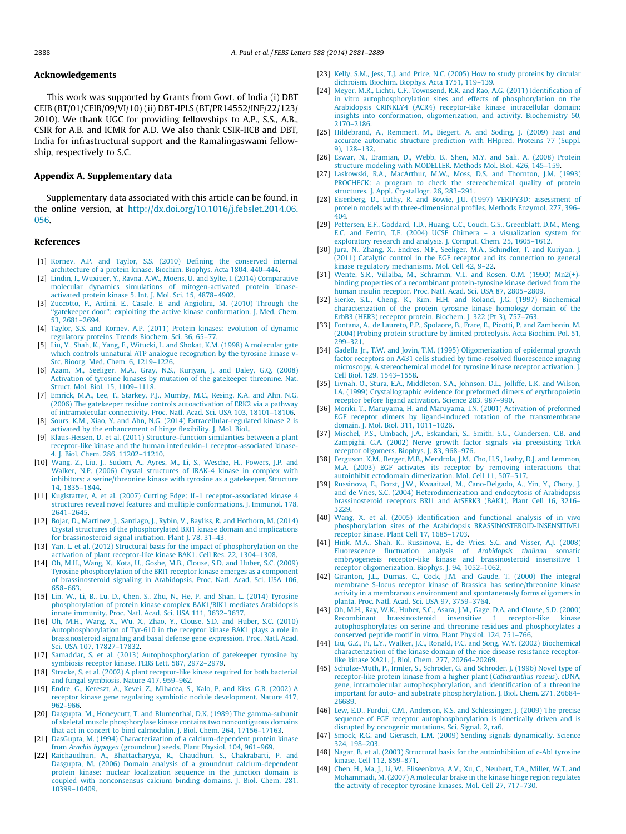## Acknowledgements

This work was supported by Grants from Govt. of India (i) DBT CEIB (BT/01/CEIB/09/VI/10) (ii) DBT-IPLS (BT/PR14552/INF/22/123/ 2010). We thank UGC for providing fellowships to A.P., S.S., A.B., CSIR for A.B. and ICMR for A.D. We also thank CSIR-IICB and DBT, India for infrastructural support and the Ramalingaswami fellowship, respectively to S.C.

## Appendix A. Supplementary data

Supplementary data associated with this article can be found, in the online version, at http://dx.doi.org/10.1016/j.febslet.2014.06. 056.

#### References

- [1] Kornev, A.P. and Taylor, S.S. (2010) Defining the conserved internal architecture of a protein kinase. Biochim. Biophys. Acta 1804, 440–444.
- [2] Lindin, I., Wuxiuer, Y., Ravna, A.W., Moens, U. and Sylte, I. (2014) Comparative molecular dynamics simulations of mitogen-activated protein kinaseactivated protein kinase 5. Int. J. Mol. Sci. 15, 4878–4902.
- [3] Zuccotto, F., Ardini, E., Casale, E. and Angiolini, M. (2010) Through the ''gatekeeper door'': exploiting the active kinase conformation. J. Med. Chem. 53, 2681–2694.
- [4] Taylor, S.S. and Kornev, A.P. (2011) Protein kinases: evolution of dynamic regulatory proteins. Trends Biochem. Sci. 36, 65–77.
- [5] Liu, Y., Shah, K., Yang, F., Witucki, L. and Shokat, K.M. (1998) A molecular gate which controls unnatural ATP analogue recognition by the tyrosine kinase v-Src. Bioorg. Med. Chem. 6, 1219–1226.
- [6] Azam, M., Seeliger, M.A., Gray, N.S., Kuriyan, J. and Daley, G.Q. (2008) Activation of tyrosine kinases by mutation of the gatekeeper threonine. Nat. Struct. Mol. Biol. 15, 1109–1118.
- [7] Emrick, M.A., Lee, T., Starkey, P.J., Mumby, M.C., Resing, K.A. and Ahn, N.G. (2006) The gatekeeper residue controls autoactivation of ERK2 via a pathway
- of intramolecular connectivity. Proc. Natl. Acad. Sci. USA 103, 18101–18106. [8] Sours, K.M., Xiao, Y. and Ahn, N.G. (2014) Extracellular-regulated kinase 2 is activated by the enhancement of hinge flexibility. J. Mol. Biol..
- [9] Klaus-Heisen, D. et al. (2011) Structure–function similarities between a plant receptor-like kinase and the human interleukin-1 receptor-associated kinase-4. J. Biol. Chem. 286, 11202–11210.
- [10] Wang, Z., Liu, J., Sudom, A., Ayres, M., Li, S., Wesche, H., Powers, J.P. and Walker, N.P. (2006) Crystal structures of IRAK-4 kinase in complex with inhibitors: a serine/threonine kinase with tyrosine as a gatekeeper. Structure 14, 1835–1844.
- [11] Kuglstatter, A. et al. (2007) Cutting Edge: IL-1 receptor-associated kinase 4 structures reveal novel features and multiple conformations. J. Immunol. 178, 2641–2645.
- [12] Bojar, D., Martinez, J., Santiago, J., Rybin, V., Bayliss, R. and Hothorn, M. (2014) Crystal structures of the phosphorylated BRI1 kinase domain and implications for brassinosteroid signal initiation. Plant J. 78, 31-43.
- [13] Yan, L. et al. (2012) Structural basis for the impact of phosphorylation on the activation of plant receptor-like kinase BAK1. Cell Res. 22, 1304–1308.
- [14] Oh, M.H., Wang, X., Kota, U., Goshe, M.B., Clouse, S.D. and Huber, S.C. (2009) Tyrosine phosphorylation of the BRI1 receptor kinase emerges as a component of brassinosteroid signaling in Arabidopsis. Proc. Natl. Acad. Sci. USA 106, 658–663.
- [15] Lin, W., Li, B., Lu, D., Chen, S., Zhu, N., He, P. and Shan, L. (2014) Tyrosine phosphorylation of protein kinase complex BAK1/BIK1 mediates Arabidopsis innate immunity. Proc. Natl. Acad. Sci. USA 111, 3632–3637.
- [16] Oh, M.H., Wang, X., Wu, X., Zhao, Y., Clouse, S.D. and Huber, S.C. (2010) Autophosphorylation of Tyr-610 in the receptor kinase BAK1 plays a role in brassinosteroid signaling and basal defense gene expression. Proc. Natl. Acad. Sci. USA 107, 17827–17832.
- [17] Samaddar, S. et al. (2013) Autophosphorylation of gatekeeper tyrosine by symbiosis receptor kinase. FEBS Lett. 587, 2972–2979.
- [18] Stracke, S. et al. (2002) A plant receptor-like kinase required for both bacterial and fungal symbiosis. Nature 417, 959–962.
- [19] Endre, G., Kereszt, A., Kevei, Z., Mihacea, S., Kalo, P. and Kiss, G.B. (2002) . receptor kinase gene regulating symbiotic nodule development. Nature 417, 962–966.
- [20] Dasgupta, M., Honeycutt, T. and Blumenthal, D.K. (1989) The gamma-subunit of skeletal muscle phosphorylase kinase contains two noncontiguous domains that act in concert to bind calmodulin. J. Biol. Chem. 264, 17156–17163.
- [21] DasGupta, M. (1994) Characterization of a calcium-dependent protein kinase from Arachis hypogea (groundnut) seeds. Plant Physiol. 104, 961–969.
- [22] Raichaudhuri, A., Bhattacharyya, R., Chaudhuri, S., Chakrabarti, P. and Dasgupta, M. (2006) Domain analysis of a groundnut calcium-dependent protein kinase: nuclear localization sequence in the junction domain is coupled with nonconsensus calcium binding domains. J. Biol. Chem. 281, 10399–10409.
- [23] Kelly, S.M., Jess, T.J. and Price, N.C. (2005) How to study proteins by circular dichroism. Biochim. Biophys. Acta 1751, 119–139.
- [24] Meyer, M.R., Lichti, C.F., Townsend, R.R. and Rao, A.G. (2011) Identification of in vitro autophosphorylation sites and effects of phosphorylation on the Arabidopsis CRINKLY4 (ACR4) receptor-like kinase intracellular domain: insights into conformation, oligomerization, and activity. Biochemistry 50, 2170–2186.
- [25] Hildebrand, A., Remmert, M., Biegert, A. and Soding, J. (2009) Fast and accurate automatic structure prediction with HHpred. Proteins 77 (Suppl. 9), 128–132.
- [26] Eswar, N., Eramian, D., Webb, B., Shen, M.Y. and Sali, A. (2008) Protein structure modeling with MODELLER. Methods Mol. Biol. 426, 145–159.
- [27] Laskowski, R.A., MacArthur, M.W., Moss, D.S. and Thornton, J.M. (1993) PROCHECK: a program to check the stereochemical quality of protein structures. J. Appl. Crystallogr. 26, 283–291.
- [28] Eisenberg, D., Luthy, R. and Bowie, J.U. (1997) VERIFY3D: assessment of protein models with three-dimensional profiles. Methods Enzymol. 277, 396– 404.
- [29] Pettersen, E.F., Goddard, T.D., Huang, C.C., Couch, G.S., Greenblatt, D.M., Meng, E.C. and Ferrin, T.E. (2004) UCSF Chimera – a visualization system for exploratory research and analysis. J. Comput. Chem. 25, 1605–1612.
- [30] Jura, N., Zhang, X., Endres, N.F., Seeliger, M.A., Schindler, T. and Kuriyan, J. (2011) Catalytic control in the EGF receptor and its connection to general kinase regulatory mechanisms. Mol. Cell 42, 9–22.
- [31] Wente, S.R., Villalba, M., Schramm, V.L. and Rosen, O.M. (1990) Mn2(+) binding properties of a recombinant protein-tyrosine kinase derived from the human insulin receptor. Proc. Natl. Acad. Sci. USA 87, 2805–2809.
- [32] Sierke, S.L., Cheng, K., Kim, H.H. and Koland, J.G. (1997) Biochemical characterization of the protein tyrosine kinase homology domain of the ErbB3 (HER3) receptor protein. Biochem. J. 322 (Pt 3), 757–763.
- [33] Fontana, A., de Laureto, P.P., Spolaore, B., Frare, E., Picotti, P. and Zambonin, M. (2004) Probing protein structure by limited proteolysis. Acta Biochim. Pol. 51,  $299 - 321$ .
- [34] Gadella Jr., T.W. and Jovin, T.M. (1995) Oligomerization of epidermal growth factor receptors on A431 cells studied by time-resolved fluorescence imaging microscopy. A stereochemical model for tyrosine kinase receptor activation. J. Cell Biol. 129, 1543–1558.
- [35] Livnah, O., Stura, E.A., Middleton, S.A., Johnson, D.L., Jolliffe, L.K. and Wilson, I.A. (1999) Crystallographic evidence for preformed dimers of erythropoietin receptor before ligand activation. Science 283, 987–990.
- [36] Moriki, T., Maruyama, H. and Maruyama, I.N. (2001) Activation of preformed EGF receptor dimers by ligand-induced rotation of the transmembrane domain. J. Mol. Biol. 311, 1011–1026.
- [37] Mischel, P.S., Umbach, J.A., Eskandari, S., Smith, S.G., Gundersen, C.B. and Zampighi, G.A. (2002) Nerve growth factor signals via preexisting TrkA receptor oligomers. Biophys. J. 83, 968–976.
- [38] Ferguson, K.M., Berger, M.B., Mendrola, J.M., Cho, H.S., Leahy, D.J. and Lemmon, M.A. (2003) EGF activates its receptor by removing interactions that autoinhibit ectodomain dimerization. Mol. Cell 11, 507–517.
- [39] Russinova, E., Borst, J.W., Kwaaitaal, M., Cano-Delgado, A., Yin, Y., Chory, J. and de Vries, S.C. (2004) Heterodimerization and endocytosis of Arabidopsis brassinosteroid receptors BRI1 and AtSERK3 (BAK1). Plant Cell 16, 3216– 3229.
- [40] Wang, X. et al. (2005) Identification and functional analysis of in vivo phosphorylation sites of the Arabidopsis BRASSINOSTEROID-INSENSITIVE1 receptor kinase. Plant Cell 17, 1685–1703.
- [41] Hink, M.A., Shah, K., Russinova, E., de Vries, S.C. and Visser, A.J. (2008) Fluorescence fluctuation analysis of Arabidopsis thaliana somatic embryogenesis receptor-like kinase and brassinosteroid insensitive 1 receptor oligomerization. Biophys. J. 94, 1052–1062.
- [42] Giranton, J.L., Dumas, C., Cock, J.M. and Gaude, T. (2000) The integral membrane S-locus receptor kinase of Brassica has serine/threonine kinase activity in a membranous environment and spontaneously forms oligomers in planta. Proc. Natl. Acad. Sci. USA 97, 3759–3764.
- [43] Oh, M.H., Ray, W.K., Huber, S.C., Asara, J.M., Gage, D.A. and Clouse, S.D. (2000) Recombinant brassinosteroid insensitive 1 receptor-like kinase autophosphorylates on serine and threonine residues and phosphorylates a conserved peptide motif in vitro. Plant Physiol. 124, 751–766.
- [44] Liu, G.Z., Pi, L.Y., Walker, J.C., Ronald, P.C. and Song, W.Y. (2002) Biochemical characterization of the kinase domain of the rice disease resistance receptorlike kinase XA21. J. Biol. Chem. 277, 20264–20269.
- [45] Schulze-Muth, P., Irmler, S., Schroder, G. and Schroder, J. (1996) Novel type of receptor-like protein kinase from a higher plant (Catharanthus roseus). cDNA, gene, intramolecular autophosphorylation, and identification of a threonine important for auto- and substrate phosphorylation. J. Biol. Chem. 271, 26684– 26689.
- [46] Lew, E.D., Furdui, C.M., Anderson, K.S. and Schlessinger, J. (2009) The precise sequence of FGF receptor autophosphorylation is kinetically driven and is disrupted by oncogenic mutations. Sci. Signal. 2, ra6.
- [47] Smock, R.G. and Gierasch, L.M. (2009) Sending signals dynamically. Science 324, 198–203.
- [48] Nagar, B. et al. (2003) Structural basis for the autoinhibition of c-Abl tyrosine kinase. Cell 112, 859–871.
- [49] Chen, H., Ma, J., Li, W., Eliseenkova, A.V., Xu, C., Neubert, T.A., Miller, W.T. and Mohammadi, M. (2007) A molecular brake in the kinase hinge region regulates the activity of receptor tyrosine kinases. Mol. Cell 27, 717–730.